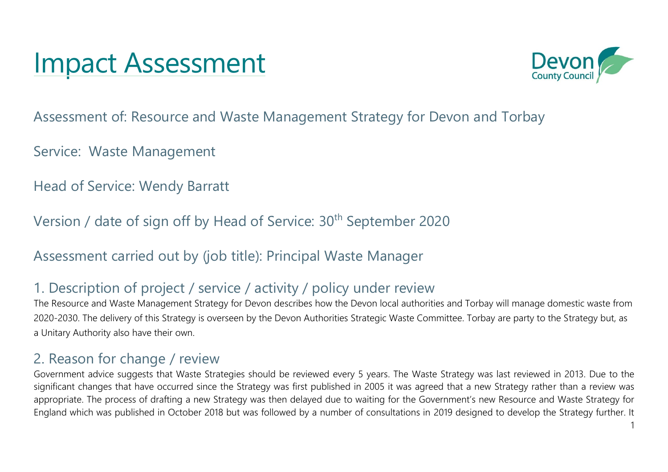# Impact Assessment



Assessment of: Resource and Waste Management Strategy for Devon and Torbay

Service: Waste Management

Head of Service: Wendy Barratt

Version / date of sign off by Head of Service: 30<sup>th</sup> September 2020

Assessment carried out by (job title): Principal Waste Manager

#### 1. Description of project / service / activity / policy under review

The Resource and Waste Management Strategy for Devon describes how the Devon local authorities and Torbay will manage domestic waste from 2020-2030. The delivery of this Strategy is overseen by the Devon Authorities Strategic Waste Committee. Torbay are party to the Strategy but, as a Unitary Authority also have their own.

#### 2. Reason for change / review

Government advice suggests that Waste Strategies should be reviewed every 5 years. The Waste Strategy was last reviewed in 2013. Due to the significant changes that have occurred since the Strategy was first published in 2005 it was agreed that a new Strategy rather than a review was appropriate. The process of drafting a new Strategy was then delayed due to waiting for the Government's new Resource and Waste Strategy for England which was published in October 2018 but was followed by a number of consultations in 2019 designed to develop the Strategy further. It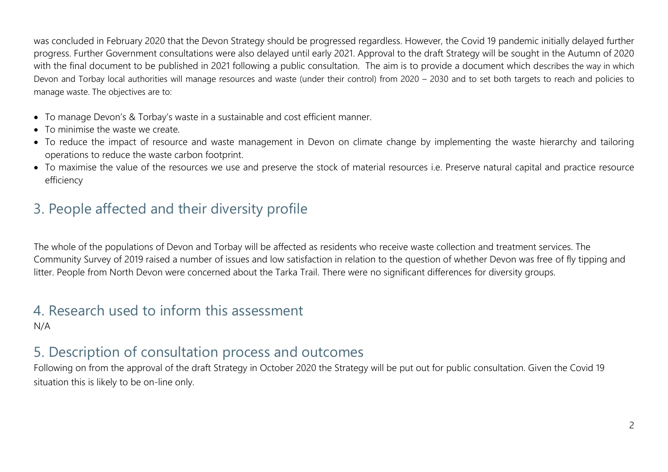was concluded in February 2020 that the Devon Strategy should be progressed regardless. However, the Covid 19 pandemic initially delayed further progress. Further Government consultations were also delayed until early 2021. Approval to the draft Strategy will be sought in the Autumn of 2020 with the final document to be published in 2021 following a public consultation. The aim is to provide a document which describes the way in which Devon and Torbay local authorities will manage resources and waste (under their control) from 2020 – 2030 and to set both targets to reach and policies to manage waste. The objectives are to:

- To manage Devon's & Torbay's waste in a sustainable and cost efficient manner.
- To minimise the waste we create.
- To reduce the impact of resource and waste management in Devon on climate change by implementing the waste hierarchy and tailoring operations to reduce the waste carbon footprint.
- To maximise the value of the resources we use and preserve the stock of material resources i.e. Preserve natural capital and practice resource efficiency

## 3. People affected and their diversity profile

The whole of the populations of Devon and Torbay will be affected as residents who receive waste collection and treatment services. The Community Survey of 2019 raised a number of issues and low satisfaction in relation to the question of whether Devon was free of fly tipping and litter. People from North Devon were concerned about the Tarka Trail. There were no significant differences for diversity groups.

# 4. Research used to inform this assessment

N/A

#### 5. Description of consultation process and outcomes

Following on from the approval of the draft Strategy in October 2020 the Strategy will be put out for public consultation. Given the Covid 19 situation this is likely to be on-line only.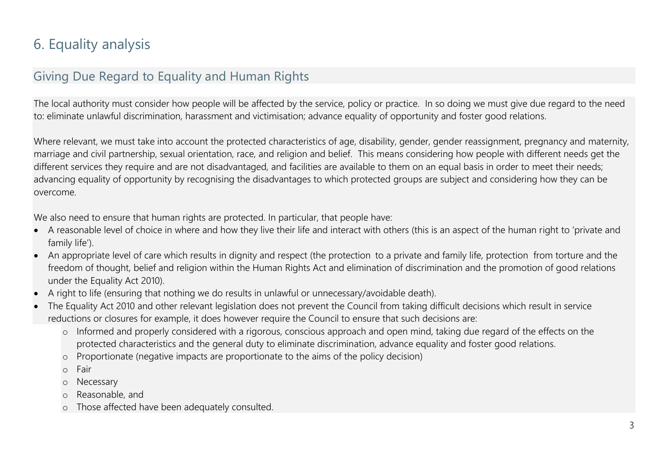## 6. Equality analysis

#### Giving Due Regard to Equality and Human Rights

The local authority must consider how people will be affected by the service, policy or practice. In so doing we must give due regard to the need to: eliminate unlawful discrimination, harassment and victimisation; advance equality of opportunity and foster good relations.

Where relevant, we must take into account the protected characteristics of age, disability, gender, gender reassignment, pregnancy and maternity, marriage and civil partnership, sexual orientation, race, and religion and belief. This means considering how people with different needs get the different services they require and are not disadvantaged, and facilities are available to them on an equal basis in order to meet their needs; advancing equality of opportunity by recognising the disadvantages to which protected groups are subject and considering how they can be overcome.

We also need to ensure that human rights are protected. In particular, that people have:

- A reasonable level of choice in where and how they live their life and interact with others (this is an aspect of the human right to 'private and family life').
- An appropriate level of care which results in dignity and respect (the protection to a private and family life, protection from torture and the freedom of thought, belief and religion within the Human Rights Act and elimination of discrimination and the promotion of good relations under the Equality Act 2010).
- A right to life (ensuring that nothing we do results in unlawful or unnecessary/avoidable death).
- The Equality Act 2010 and other relevant legislation does not prevent the Council from taking difficult decisions which result in service reductions or closures for example, it does however require the Council to ensure that such decisions are:
	- o Informed and properly considered with a rigorous, conscious approach and open mind, taking due regard of the effects on the protected characteristics and the general duty to eliminate discrimination, advance equality and foster good relations.
	- o Proportionate (negative impacts are proportionate to the aims of the policy decision)
	- o Fair
	- o Necessary
	- o Reasonable, and
	- o Those affected have been adequately consulted.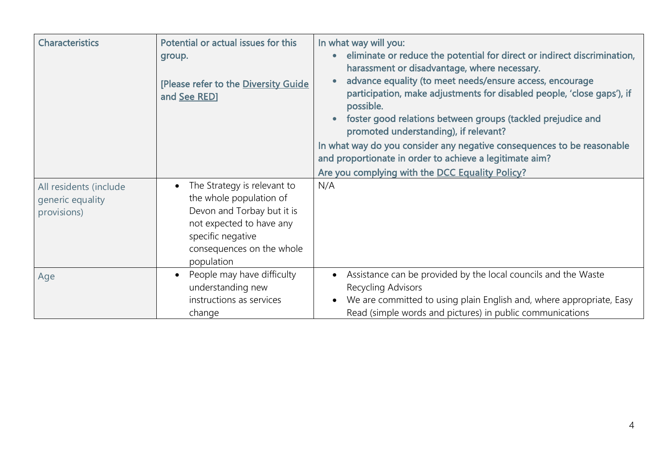| <b>Characteristics</b>                                    | Potential or actual issues for this<br>group.<br>[Please refer to the Diversity Guide<br>and See RED]                                                                                         | In what way will you:<br>eliminate or reduce the potential for direct or indirect discrimination,<br>$\bullet$<br>harassment or disadvantage, where necessary.<br>advance equality (to meet needs/ensure access, encourage<br>participation, make adjustments for disabled people, 'close gaps'), if<br>possible.<br>foster good relations between groups (tackled prejudice and<br>promoted understanding), if relevant?<br>In what way do you consider any negative consequences to be reasonable<br>and proportionate in order to achieve a legitimate aim?<br>Are you complying with the DCC Equality Policy? |
|-----------------------------------------------------------|-----------------------------------------------------------------------------------------------------------------------------------------------------------------------------------------------|-------------------------------------------------------------------------------------------------------------------------------------------------------------------------------------------------------------------------------------------------------------------------------------------------------------------------------------------------------------------------------------------------------------------------------------------------------------------------------------------------------------------------------------------------------------------------------------------------------------------|
| All residents (include<br>generic equality<br>provisions) | The Strategy is relevant to<br>$\bullet$<br>the whole population of<br>Devon and Torbay but it is<br>not expected to have any<br>specific negative<br>consequences on the whole<br>population | N/A                                                                                                                                                                                                                                                                                                                                                                                                                                                                                                                                                                                                               |
| Age                                                       | People may have difficulty<br>$\bullet$<br>understanding new<br>instructions as services<br>change                                                                                            | Assistance can be provided by the local councils and the Waste<br>Recycling Advisors<br>We are committed to using plain English and, where appropriate, Easy<br>$\bullet$<br>Read (simple words and pictures) in public communications                                                                                                                                                                                                                                                                                                                                                                            |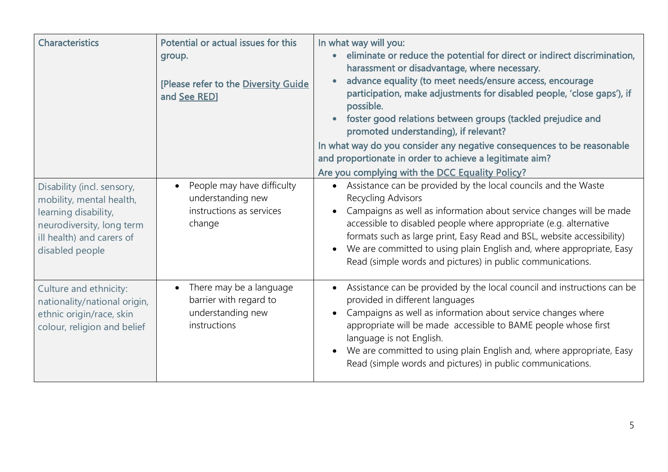| <b>Characteristics</b>                                                                                                                                      | Potential or actual issues for this<br>group.<br>[Please refer to the Diversity Guide<br>and See RED] | In what way will you:<br>eliminate or reduce the potential for direct or indirect discrimination,<br>harassment or disadvantage, where necessary.<br>advance equality (to meet needs/ensure access, encourage<br>participation, make adjustments for disabled people, 'close gaps'), if<br>possible.<br>foster good relations between groups (tackled prejudice and<br>promoted understanding), if relevant?<br>In what way do you consider any negative consequences to be reasonable<br>and proportionate in order to achieve a legitimate aim?<br>Are you complying with the DCC Equality Policy? |
|-------------------------------------------------------------------------------------------------------------------------------------------------------------|-------------------------------------------------------------------------------------------------------|------------------------------------------------------------------------------------------------------------------------------------------------------------------------------------------------------------------------------------------------------------------------------------------------------------------------------------------------------------------------------------------------------------------------------------------------------------------------------------------------------------------------------------------------------------------------------------------------------|
| Disability (incl. sensory,<br>mobility, mental health,<br>learning disability,<br>neurodiversity, long term<br>ill health) and carers of<br>disabled people | People may have difficulty<br>$\bullet$<br>understanding new<br>instructions as services<br>change    | Assistance can be provided by the local councils and the Waste<br>$\bullet$<br>Recycling Advisors<br>Campaigns as well as information about service changes will be made<br>accessible to disabled people where appropriate (e.g. alternative<br>formats such as large print, Easy Read and BSL, website accessibility)<br>We are committed to using plain English and, where appropriate, Easy<br>Read (simple words and pictures) in public communications.                                                                                                                                        |
| Culture and ethnicity:<br>nationality/national origin,<br>ethnic origin/race, skin<br>colour, religion and belief                                           | There may be a language<br>$\bullet$<br>barrier with regard to<br>understanding new<br>instructions   | Assistance can be provided by the local council and instructions can be<br>provided in different languages<br>Campaigns as well as information about service changes where<br>appropriate will be made accessible to BAME people whose first<br>language is not English.<br>We are committed to using plain English and, where appropriate, Easy<br>Read (simple words and pictures) in public communications.                                                                                                                                                                                       |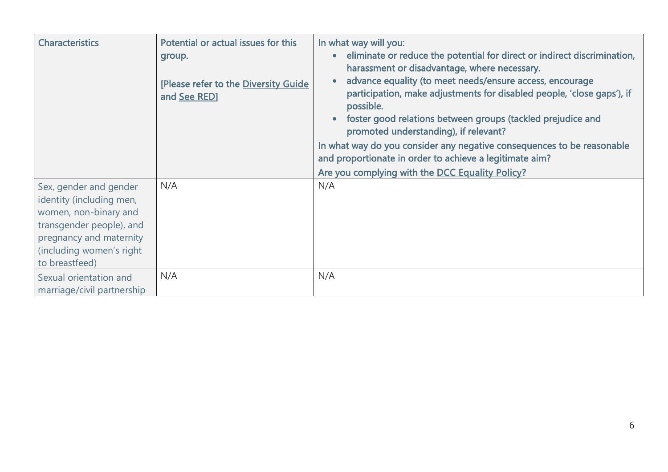| <b>Characteristics</b>                                                                                                                                                           | Potential or actual issues for this<br>group.<br>[Please refer to the Diversity Guide<br>and See RED] | In what way will you:<br>eliminate or reduce the potential for direct or indirect discrimination,<br>harassment or disadvantage, where necessary.<br>advance equality (to meet needs/ensure access, encourage<br>participation, make adjustments for disabled people, 'close gaps'), if<br>possible.<br>foster good relations between groups (tackled prejudice and<br>promoted understanding), if relevant?<br>In what way do you consider any negative consequences to be reasonable<br>and proportionate in order to achieve a legitimate aim?<br>Are you complying with the DCC Equality Policy? |
|----------------------------------------------------------------------------------------------------------------------------------------------------------------------------------|-------------------------------------------------------------------------------------------------------|------------------------------------------------------------------------------------------------------------------------------------------------------------------------------------------------------------------------------------------------------------------------------------------------------------------------------------------------------------------------------------------------------------------------------------------------------------------------------------------------------------------------------------------------------------------------------------------------------|
| Sex, gender and gender<br>identity (including men,<br>women, non-binary and<br>transgender people), and<br>pregnancy and maternity<br>(including women's right<br>to breastfeed) | N/A                                                                                                   | N/A                                                                                                                                                                                                                                                                                                                                                                                                                                                                                                                                                                                                  |
| Sexual orientation and<br>marriage/civil partnership                                                                                                                             | N/A                                                                                                   | N/A                                                                                                                                                                                                                                                                                                                                                                                                                                                                                                                                                                                                  |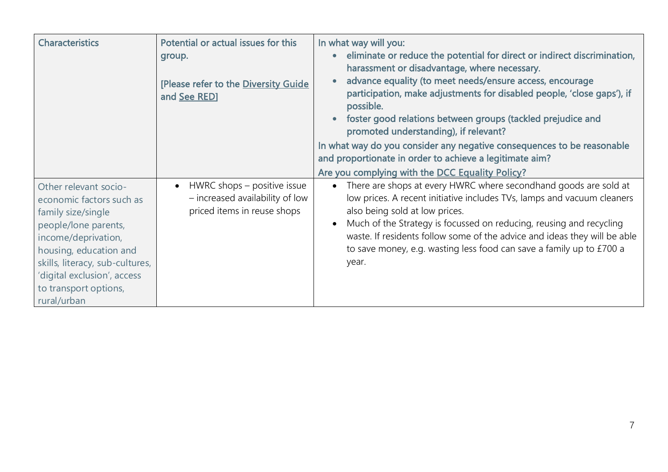| <b>Characteristics</b>                                                                                                                                                                                                                                     | Potential or actual issues for this<br>group.<br>[Please refer to the Diversity Guide<br>and See RED]      | In what way will you:<br>eliminate or reduce the potential for direct or indirect discrimination,<br>harassment or disadvantage, where necessary.<br>advance equality (to meet needs/ensure access, encourage<br>participation, make adjustments for disabled people, 'close gaps'), if<br>possible.<br>foster good relations between groups (tackled prejudice and<br>promoted understanding), if relevant?<br>In what way do you consider any negative consequences to be reasonable<br>and proportionate in order to achieve a legitimate aim?<br>Are you complying with the DCC Equality Policy? |
|------------------------------------------------------------------------------------------------------------------------------------------------------------------------------------------------------------------------------------------------------------|------------------------------------------------------------------------------------------------------------|------------------------------------------------------------------------------------------------------------------------------------------------------------------------------------------------------------------------------------------------------------------------------------------------------------------------------------------------------------------------------------------------------------------------------------------------------------------------------------------------------------------------------------------------------------------------------------------------------|
| Other relevant socio-<br>economic factors such as<br>family size/single<br>people/lone parents,<br>income/deprivation,<br>housing, education and<br>skills, literacy, sub-cultures,<br>'digital exclusion', access<br>to transport options,<br>rural/urban | HWRC shops – positive issue<br>$\bullet$<br>- increased availability of low<br>priced items in reuse shops | There are shops at every HWRC where secondhand goods are sold at<br>low prices. A recent initiative includes TVs, lamps and vacuum cleaners<br>also being sold at low prices.<br>Much of the Strategy is focussed on reducing, reusing and recycling<br>waste. If residents follow some of the advice and ideas they will be able<br>to save money, e.g. wasting less food can save a family up to £700 a<br>year.                                                                                                                                                                                   |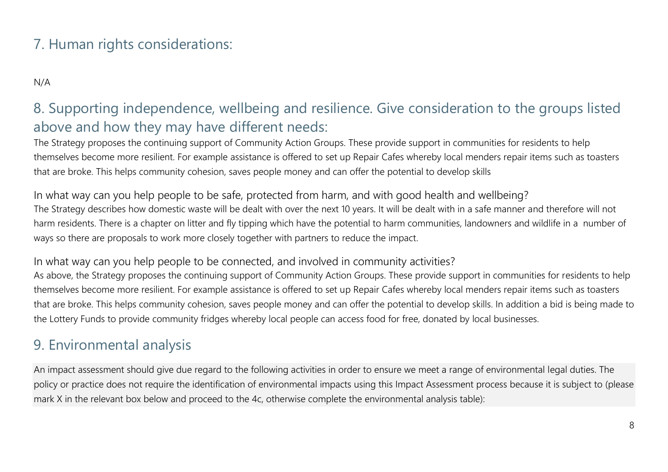#### 7. Human rights considerations:

N/A

## 8. Supporting independence, wellbeing and resilience. Give consideration to the groups listed above and how they may have different needs:

The Strategy proposes the continuing support of Community Action Groups. These provide support in communities for residents to help themselves become more resilient. For example assistance is offered to set up Repair Cafes whereby local menders repair items such as toasters that are broke. This helps community cohesion, saves people money and can offer the potential to develop skills

In what way can you help people to be safe, protected from harm, and with good health and wellbeing? The Strategy describes how domestic waste will be dealt with over the next 10 years. It will be dealt with in a safe manner and therefore will not harm residents. There is a chapter on litter and fly tipping which have the potential to harm communities, landowners and wildlife in a number of ways so there are proposals to work more closely together with partners to reduce the impact.

#### In what way can you help people to be connected, and involved in community activities?

As above, the Strategy proposes the continuing support of Community Action Groups. These provide support in communities for residents to help themselves become more resilient. For example assistance is offered to set up Repair Cafes whereby local menders repair items such as toasters that are broke. This helps community cohesion, saves people money and can offer the potential to develop skills. In addition a bid is being made to the Lottery Funds to provide community fridges whereby local people can access food for free, donated by local businesses.

#### 9. Environmental analysis

An impact assessment should give due regard to the following activities in order to ensure we meet a range of environmental legal duties. The policy or practice does not require the identification of environmental impacts using this Impact Assessment process because it is subject to (please mark X in the relevant box below and proceed to the 4c, otherwise complete the environmental analysis table):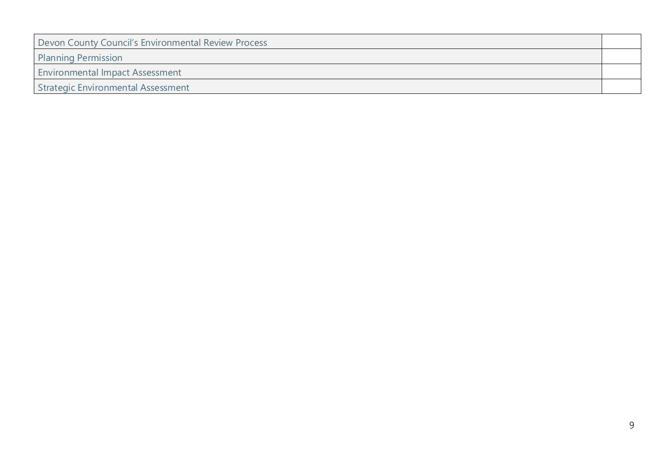| Devon County Council's Environmental Review Process |  |
|-----------------------------------------------------|--|
| <b>Planning Permission</b>                          |  |
| <b>Environmental Impact Assessment</b>              |  |
| Strategic Environmental Assessment                  |  |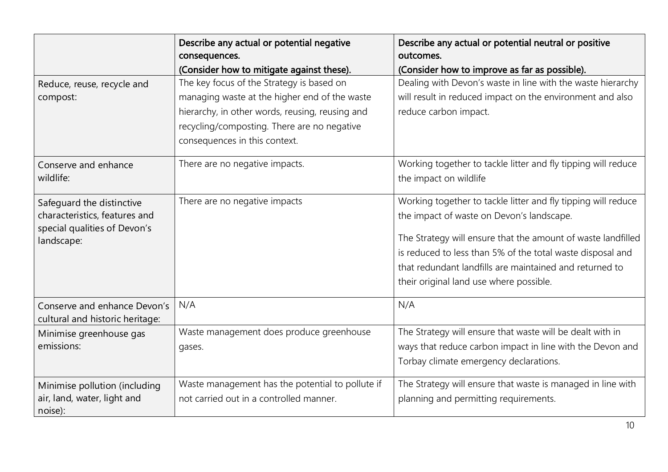|                                                                                                          | Describe any actual or potential negative<br>consequences.<br>(Consider how to mitigate against these).                                                                                                                       | Describe any actual or potential neutral or positive<br>outcomes.<br>(Consider how to improve as far as possible).                                                                                                                                                                                                                             |
|----------------------------------------------------------------------------------------------------------|-------------------------------------------------------------------------------------------------------------------------------------------------------------------------------------------------------------------------------|------------------------------------------------------------------------------------------------------------------------------------------------------------------------------------------------------------------------------------------------------------------------------------------------------------------------------------------------|
| Reduce, reuse, recycle and<br>compost:                                                                   | The key focus of the Strategy is based on<br>managing waste at the higher end of the waste<br>hierarchy, in other words, reusing, reusing and<br>recycling/composting. There are no negative<br>consequences in this context. | Dealing with Devon's waste in line with the waste hierarchy<br>will result in reduced impact on the environment and also<br>reduce carbon impact.                                                                                                                                                                                              |
| Conserve and enhance<br>wildlife:                                                                        | There are no negative impacts.                                                                                                                                                                                                | Working together to tackle litter and fly tipping will reduce<br>the impact on wildlife                                                                                                                                                                                                                                                        |
| Safequard the distinctive<br>characteristics, features and<br>special qualities of Devon's<br>landscape: | There are no negative impacts                                                                                                                                                                                                 | Working together to tackle litter and fly tipping will reduce<br>the impact of waste on Devon's landscape.<br>The Strategy will ensure that the amount of waste landfilled<br>is reduced to less than 5% of the total waste disposal and<br>that redundant landfills are maintained and returned to<br>their original land use where possible. |
| Conserve and enhance Devon's<br>cultural and historic heritage:                                          | N/A                                                                                                                                                                                                                           | N/A                                                                                                                                                                                                                                                                                                                                            |
| Minimise greenhouse gas<br>emissions:                                                                    | Waste management does produce greenhouse<br>gases.                                                                                                                                                                            | The Strategy will ensure that waste will be dealt with in<br>ways that reduce carbon impact in line with the Devon and<br>Torbay climate emergency declarations.                                                                                                                                                                               |
| Minimise pollution (including<br>air, land, water, light and<br>noise):                                  | Waste management has the potential to pollute if<br>not carried out in a controlled manner.                                                                                                                                   | The Strategy will ensure that waste is managed in line with<br>planning and permitting requirements.                                                                                                                                                                                                                                           |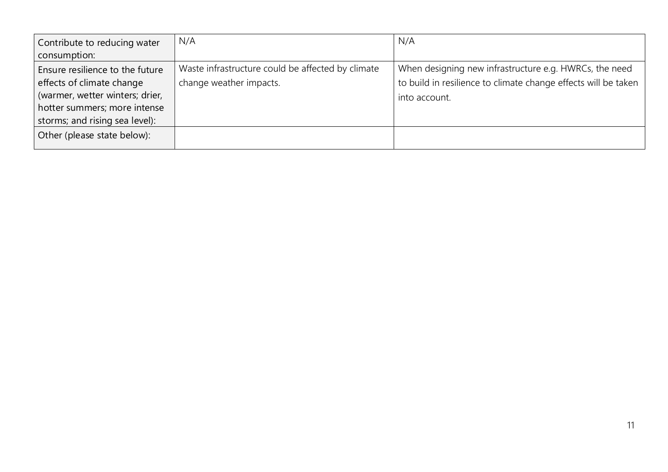| Contribute to reducing water<br>consumption:                                                                                                                      | N/A                                                                          | N/A                                                                                                                                       |
|-------------------------------------------------------------------------------------------------------------------------------------------------------------------|------------------------------------------------------------------------------|-------------------------------------------------------------------------------------------------------------------------------------------|
| Ensure resilience to the future<br>effects of climate change<br>(warmer, wetter winters; drier,<br>hotter summers; more intense<br>storms; and rising sea level): | Waste infrastructure could be affected by climate<br>change weather impacts. | When designing new infrastructure e.g. HWRCs, the need<br>to build in resilience to climate change effects will be taken<br>into account. |
| Other (please state below):                                                                                                                                       |                                                                              |                                                                                                                                           |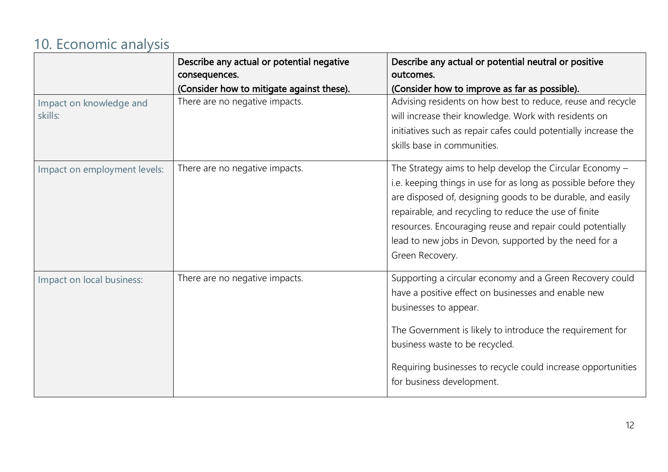# 10. Economic analysis

|                                    | Describe any actual or potential negative<br>consequences.<br>(Consider how to mitigate against these). | Describe any actual or potential neutral or positive<br>outcomes.<br>(Consider how to improve as far as possible).                                                                                                                                                                                                                                                                          |
|------------------------------------|---------------------------------------------------------------------------------------------------------|---------------------------------------------------------------------------------------------------------------------------------------------------------------------------------------------------------------------------------------------------------------------------------------------------------------------------------------------------------------------------------------------|
| Impact on knowledge and<br>skills: | There are no negative impacts.                                                                          | Advising residents on how best to reduce, reuse and recycle<br>will increase their knowledge. Work with residents on<br>initiatives such as repair cafes could potentially increase the<br>skills base in communities.                                                                                                                                                                      |
| Impact on employment levels:       | There are no negative impacts.                                                                          | The Strategy aims to help develop the Circular Economy -<br>i.e. keeping things in use for as long as possible before they<br>are disposed of, designing goods to be durable, and easily<br>repairable, and recycling to reduce the use of finite<br>resources. Encouraging reuse and repair could potentially<br>lead to new jobs in Devon, supported by the need for a<br>Green Recovery. |
| Impact on local business:          | There are no negative impacts.                                                                          | Supporting a circular economy and a Green Recovery could<br>have a positive effect on businesses and enable new<br>businesses to appear.<br>The Government is likely to introduce the requirement for<br>business waste to be recycled.<br>Requiring businesses to recycle could increase opportunities<br>for business development.                                                        |